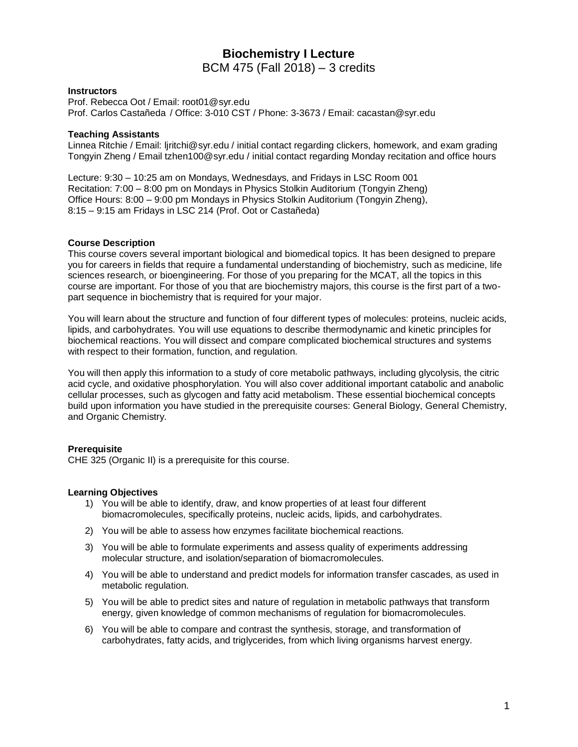# **Biochemistry I Lecture** BCM 475 (Fall 2018) – 3 credits

### **Instructors**

Prof. Rebecca Oot / Email: root01@syr.edu Prof. Carlos Castañeda / Office: 3-010 CST / Phone: 3-3673 / Email: cacastan@syr.edu

### **Teaching Assistants**

Linnea Ritchie / Email: ljritchi@syr.edu / initial contact regarding clickers, homework, and exam grading Tongyin Zheng / Email tzhen100@syr.edu / initial contact regarding Monday recitation and office hours

Lecture: 9:30 – 10:25 am on Mondays, Wednesdays, and Fridays in LSC Room 001 Recitation: 7:00 – 8:00 pm on Mondays in Physics Stolkin Auditorium (Tongyin Zheng) Office Hours: 8:00 – 9:00 pm Mondays in Physics Stolkin Auditorium (Tongyin Zheng), 8:15 – 9:15 am Fridays in LSC 214 (Prof. Oot or Castañeda)

#### **Course Description**

This course covers several important biological and biomedical topics. It has been designed to prepare you for careers in fields that require a fundamental understanding of biochemistry, such as medicine, life sciences research, or bioengineering. For those of you preparing for the MCAT, all the topics in this course are important. For those of you that are biochemistry majors, this course is the first part of a twopart sequence in biochemistry that is required for your major.

You will learn about the structure and function of four different types of molecules: proteins, nucleic acids, lipids, and carbohydrates. You will use equations to describe thermodynamic and kinetic principles for biochemical reactions. You will dissect and compare complicated biochemical structures and systems with respect to their formation, function, and regulation.

You will then apply this information to a study of core metabolic pathways, including glycolysis, the citric acid cycle, and oxidative phosphorylation. You will also cover additional important catabolic and anabolic cellular processes, such as glycogen and fatty acid metabolism. These essential biochemical concepts build upon information you have studied in the prerequisite courses: General Biology, General Chemistry, and Organic Chemistry.

## **Prerequisite**

CHE 325 (Organic II) is a prerequisite for this course.

## **Learning Objectives**

- 1) You will be able to identify, draw, and know properties of at least four different biomacromolecules, specifically proteins, nucleic acids, lipids, and carbohydrates.
- 2) You will be able to assess how enzymes facilitate biochemical reactions.
- 3) You will be able to formulate experiments and assess quality of experiments addressing molecular structure, and isolation/separation of biomacromolecules.
- 4) You will be able to understand and predict models for information transfer cascades, as used in metabolic regulation.
- 5) You will be able to predict sites and nature of regulation in metabolic pathways that transform energy, given knowledge of common mechanisms of regulation for biomacromolecules.
- 6) You will be able to compare and contrast the synthesis, storage, and transformation of carbohydrates, fatty acids, and triglycerides, from which living organisms harvest energy.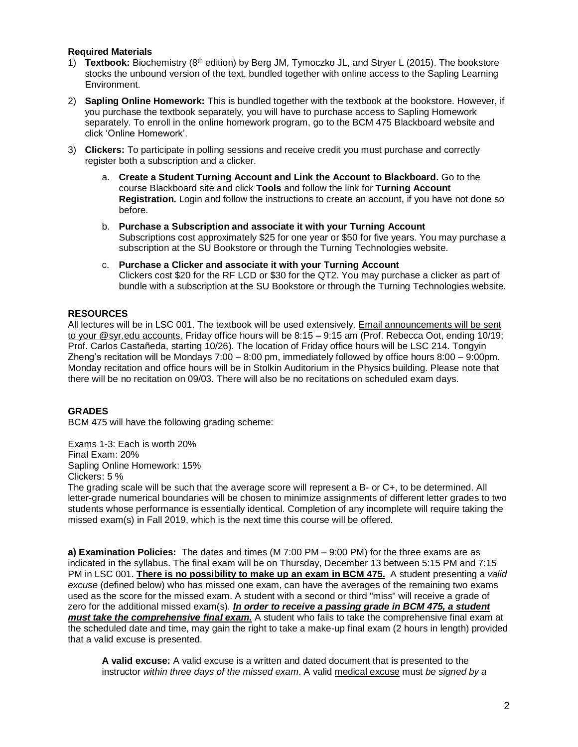# **Required Materials**

- 1) **Textbook:** Biochemistry (8th edition) by Berg JM, Tymoczko JL, and Stryer L (2015). The bookstore stocks the unbound version of the text, bundled together with online access to the Sapling Learning Environment.
- 2) **Sapling Online Homework:** This is bundled together with the textbook at the bookstore. However, if you purchase the textbook separately, you will have to purchase access to Sapling Homework separately. To enroll in the online homework program, go to the BCM 475 Blackboard website and click 'Online Homework'.
- 3) **Clickers:** To participate in polling sessions and receive credit you must purchase and correctly register both a subscription and a clicker.
	- a. **Create a Student Turning Account and Link the Account to Blackboard.** Go to the course Blackboard site and click **Tools** and follow the link for **Turning Account Registration.** Login and follow the instructions to create an account, if you have not done so before.
	- b. **Purchase a Subscription and associate it with your Turning Account** Subscriptions cost approximately \$25 for one year or \$50 for five years. You may purchase a subscription at the SU Bookstore or through the Turning Technologies website.
	- c. **Purchase a Clicker and associate it with your Turning Account** Clickers cost \$20 for the RF LCD or \$30 for the QT2. You may purchase a clicker as part of bundle with a subscription at the SU Bookstore or through the Turning Technologies website.

# **RESOURCES**

All lectures will be in LSC 001. The textbook will be used extensively. Email announcements will be sent to your @syr.edu accounts. Friday office hours will be 8:15 – 9:15 am (Prof. Rebecca Oot, ending 10/19; Prof. Carlos Castañeda, starting 10/26). The location of Friday office hours will be LSC 214. Tongyin Zheng's recitation will be Mondays 7:00 – 8:00 pm, immediately followed by office hours 8:00 – 9:00pm. Monday recitation and office hours will be in Stolkin Auditorium in the Physics building. Please note that there will be no recitation on 09/03. There will also be no recitations on scheduled exam days.

# **GRADES**

BCM 475 will have the following grading scheme:

Exams 1-3: Each is worth 20% Final Exam: 20% Sapling Online Homework: 15% Clickers: 5 %

The grading scale will be such that the average score will represent a B- or C+, to be determined. All letter-grade numerical boundaries will be chosen to minimize assignments of different letter grades to two students whose performance is essentially identical. Completion of any incomplete will require taking the missed exam(s) in Fall 2019, which is the next time this course will be offered.

**a) Examination Policies:** The dates and times (M 7:00 PM – 9:00 PM) for the three exams are as indicated in the syllabus. The final exam will be on Thursday, December 13 between 5:15 PM and 7:15 PM in LSC 001. **There is no possibility to make up an exam in BCM 475.** A student presenting a *valid excuse* (defined below) who has missed one exam, can have the averages of the remaining two exams used as the score for the missed exam. A student with a second or third "miss" will receive a grade of zero for the additional missed exam(s). *In order to receive a passing grade in BCM 475, a student must take the comprehensive final exam.* A student who fails to take the comprehensive final exam at the scheduled date and time, may gain the right to take a make-up final exam (2 hours in length) provided that a valid excuse is presented.

**A valid excuse:** A valid excuse is a written and dated document that is presented to the instructor *within three days of the missed exam*. A valid medical excuse must *be signed by a*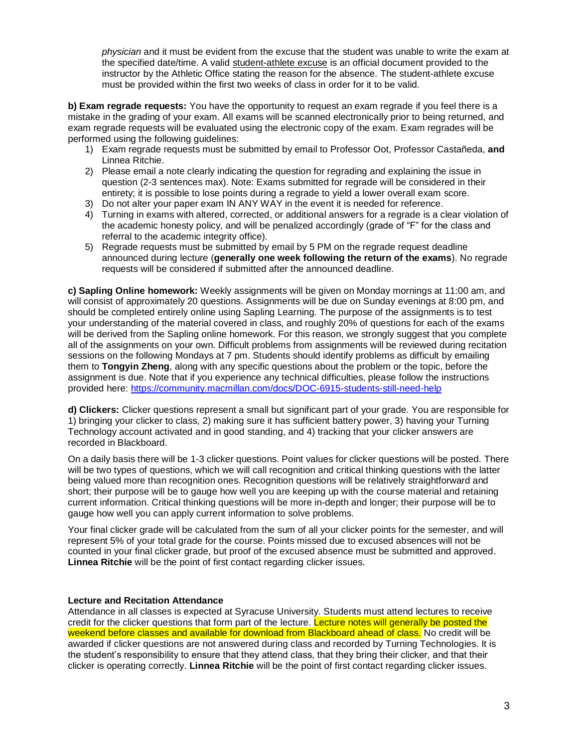*physician* and it must be evident from the excuse that the student was unable to write the exam at the specified date/time. A valid student-athlete excuse is an official document provided to the instructor by the Athletic Office stating the reason for the absence. The student-athlete excuse must be provided within the first two weeks of class in order for it to be valid.

**b) Exam regrade requests:** You have the opportunity to request an exam regrade if you feel there is a mistake in the grading of your exam. All exams will be scanned electronically prior to being returned, and exam regrade requests will be evaluated using the electronic copy of the exam. Exam regrades will be performed using the following guidelines:

- 1) Exam regrade requests must be submitted by email to Professor Oot, Professor Castañeda, **and**  Linnea Ritchie.
- 2) Please email a note clearly indicating the question for regrading and explaining the issue in question (2-3 sentences max). Note: Exams submitted for regrade will be considered in their entirety; it is possible to lose points during a regrade to yield a lower overall exam score.
- 3) Do not alter your paper exam IN ANY WAY in the event it is needed for reference.
- 4) Turning in exams with altered, corrected, or additional answers for a regrade is a clear violation of the academic honesty policy, and will be penalized accordingly (grade of "F" for the class and referral to the academic integrity office).
- 5) Regrade requests must be submitted by email by 5 PM on the regrade request deadline announced during lecture (**generally one week following the return of the exams**). No regrade requests will be considered if submitted after the announced deadline.

**c) Sapling Online homework:** Weekly assignments will be given on Monday mornings at 11:00 am, and will consist of approximately 20 questions. Assignments will be due on Sunday evenings at 8:00 pm, and should be completed entirely online using Sapling Learning. The purpose of the assignments is to test your understanding of the material covered in class, and roughly 20% of questions for each of the exams will be derived from the Sapling online homework. For this reason, we strongly suggest that you complete all of the assignments on your own. Difficult problems from assignments will be reviewed during recitation sessions on the following Mondays at 7 pm. Students should identify problems as difficult by emailing them to **Tongyin Zheng**, along with any specific questions about the problem or the topic, before the assignment is due. Note that if you experience any technical difficulties, please follow the instructions provided here: [https://community.macmillan.com/docs/DOC-6915-students-still-need-help](http://community.macmillan.com/docs/DOC-6915-students-still-need-help)

**d) Clickers:** Clicker questions represent a small but significant part of your grade. You are responsible for 1) bringing your clicker to class, 2) making sure it has sufficient battery power, 3) having your Turning Technology account activated and in good standing, and 4) tracking that your clicker answers are recorded in Blackboard.

On a daily basis there will be 1-3 clicker questions. Point values for clicker questions will be posted. There will be two types of questions, which we will call recognition and critical thinking questions with the latter being valued more than recognition ones. Recognition questions will be relatively straightforward and short; their purpose will be to gauge how well you are keeping up with the course material and retaining current information. Critical thinking questions will be more in-depth and longer; their purpose will be to gauge how well you can apply current information to solve problems.

Your final clicker grade will be calculated from the sum of all your clicker points for the semester, and will represent 5% of your total grade for the course. Points missed due to excused absences will not be counted in your final clicker grade, but proof of the excused absence must be submitted and approved. **Linnea Ritchie** will be the point of first contact regarding clicker issues.

## **Lecture and Recitation Attendance**

Attendance in all classes is expected at Syracuse University. Students must attend lectures to receive credit for the clicker questions that form part of the lecture. Lecture notes will generally be posted the weekend before classes and available for download from Blackboard ahead of class. No credit will be awarded if clicker questions are not answered during class and recorded by Turning Technologies. It is the student's responsibility to ensure that they attend class, that they bring their clicker, and that their clicker is operating correctly. **Linnea Ritchie** will be the point of first contact regarding clicker issues.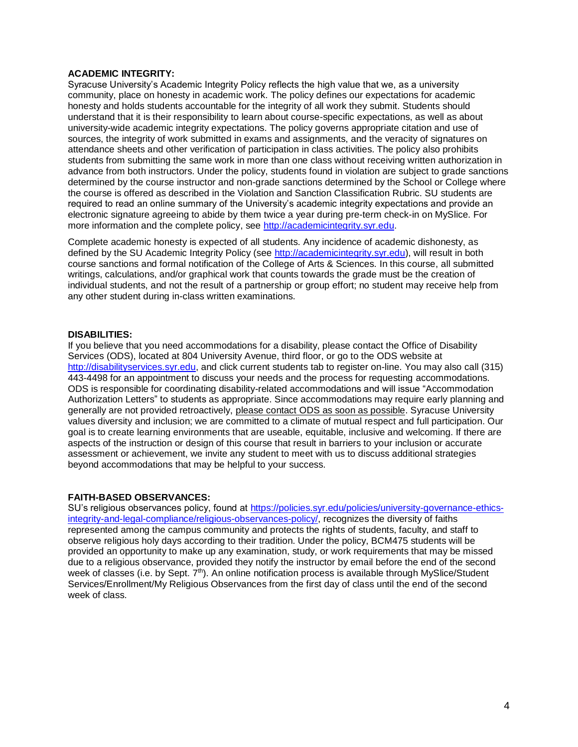## **ACADEMIC INTEGRITY:**

Syracuse University's Academic Integrity Policy reflects the high value that we, as a university community, place on honesty in academic work. The policy defines our expectations for academic honesty and holds students accountable for the integrity of all work they submit. Students should understand that it is their responsibility to learn about course-specific expectations, as well as about university-wide academic integrity expectations. The policy governs appropriate citation and use of sources, the integrity of work submitted in exams and assignments, and the veracity of signatures on attendance sheets and other verification of participation in class activities. The policy also prohibits students from submitting the same work in more than one class without receiving written authorization in advance from both instructors. Under the policy, students found in violation are subject to grade sanctions determined by the course instructor and non-grade sanctions determined by the School or College where the course is offered as described in the Violation and Sanction Classification Rubric. SU students are required to read an online summary of the University's academic integrity expectations and provide an electronic signature agreeing to abide by them twice a year during pre-term check-in on MySlice. For more information and the complete policy, see [http://academicintegrity.syr.edu.](http://academicintegrity.syr.edu/)

Complete academic honesty is expected of all students. Any incidence of academic dishonesty, as defined by the SU Academic Integrity Policy (see [http://academicintegrity.syr.edu\)](http://academicintegrity.syr.edu/), will result in both course sanctions and formal notification of the College of Arts & Sciences. In this course, all submitted writings, calculations, and/or graphical work that counts towards the grade must be the creation of individual students, and not the result of a partnership or group effort; no student may receive help from any other student during in-class written examinations.

#### **DISABILITIES:**

If you believe that you need accommodations for a disability, please contact the Office of Disability Services (ODS), located at 804 University Avenue, third floor, or go to the ODS website at [http://disabilityservices.syr.edu,](http://disabilityservices.syr.edu/) and click current students tab to register on-line. You may also call (315) 443-4498 for an appointment to discuss your needs and the process for requesting accommodations. ODS is responsible for coordinating disability-related accommodations and will issue "Accommodation Authorization Letters" to students as appropriate. Since accommodations may require early planning and generally are not provided retroactively, please contact ODS as soon as possible. Syracuse University values diversity and inclusion; we are committed to a climate of mutual respect and full participation. Our goal is to create learning environments that are useable, equitable, inclusive and welcoming. If there are aspects of the instruction or design of this course that result in barriers to your inclusion or accurate assessment or achievement, we invite any student to meet with us to discuss additional strategies beyond accommodations that may be helpful to your success.

#### **FAITH-BASED OBSERVANCES:**

SU's religious observances policy, found at [https://policies.syr.edu/policies/university-governance-ethics](https://policies.syr.edu/policies/university-governance-ethics-integrity-and-legal-compliance/religious-observances-policy/)[integrity-and-legal-compliance/religious-observances-policy/,](https://policies.syr.edu/policies/university-governance-ethics-integrity-and-legal-compliance/religious-observances-policy/) recognizes the diversity of faiths represented among the campus community and protects the rights of students, faculty, and staff to observe religious holy days according to their tradition. Under the policy, BCM475 students will be provided an opportunity to make up any examination, study, or work requirements that may be missed due to a religious observance, provided they notify the instructor by email before the end of the second week of classes (i.e. by Sept. 7<sup>th</sup>). An online notification process is available through MySlice/Student Services/Enrollment/My Religious Observances from the first day of class until the end of the second week of class.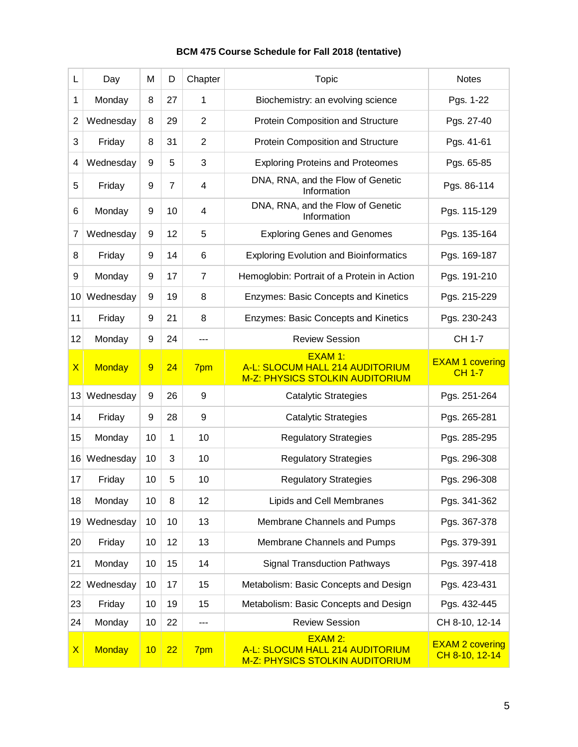# **BCM 475 Course Schedule for Fall 2018 (tentative)**

| L                       | Day           | M  | D              | Chapter        | Topic                                                                                | <b>Notes</b>                             |
|-------------------------|---------------|----|----------------|----------------|--------------------------------------------------------------------------------------|------------------------------------------|
| 1                       | Monday        | 8  | 27             | 1              | Biochemistry: an evolving science                                                    | Pgs. 1-22                                |
| 2                       | Wednesday     | 8  | 29             | $\overline{2}$ | Protein Composition and Structure                                                    | Pgs. 27-40                               |
| 3                       | Friday        | 8  | 31             | $\overline{2}$ | Protein Composition and Structure                                                    | Pgs. 41-61                               |
| 4                       | Wednesday     | 9  | 5              | 3              | <b>Exploring Proteins and Proteomes</b>                                              | Pgs. 65-85                               |
| 5                       | Friday        | 9  | $\overline{7}$ | $\overline{4}$ | DNA, RNA, and the Flow of Genetic<br>Information                                     | Pgs. 86-114                              |
| 6                       | Monday        | 9  | 10             | $\overline{4}$ | DNA, RNA, and the Flow of Genetic<br>Information                                     | Pgs. 115-129                             |
| 7                       | Wednesday     | 9  | 12             | 5              | <b>Exploring Genes and Genomes</b>                                                   | Pgs. 135-164                             |
| 8                       | Friday        | 9  | 14             | 6              | <b>Exploring Evolution and Bioinformatics</b>                                        | Pgs. 169-187                             |
| 9                       | Monday        | 9  | 17             | $\overline{7}$ | Hemoglobin: Portrait of a Protein in Action                                          | Pgs. 191-210                             |
| 10 <sup>1</sup>         | Wednesday     | 9  | 19             | 8              | <b>Enzymes: Basic Concepts and Kinetics</b>                                          | Pgs. 215-229                             |
| 11                      | Friday        | 9  | 21             | 8              | <b>Enzymes: Basic Concepts and Kinetics</b>                                          | Pgs. 230-243                             |
| 12                      | Monday        | 9  | 24             | ---            | <b>Review Session</b>                                                                | <b>CH 1-7</b>                            |
| $\overline{\mathsf{X}}$ | <b>Monday</b> | 9  | 24             | 7pm            | <b>EXAM 1:</b><br>A-L: SLOCUM HALL 214 AUDITORIUM<br>M-Z: PHYSICS STOLKIN AUDITORIUM | <b>EXAM 1 covering</b><br><b>CH 1-7</b>  |
| 13                      | Wednesday     | 9  | 26             | 9              | <b>Catalytic Strategies</b>                                                          | Pgs. 251-264                             |
| 14                      | Friday        | 9  | 28             | 9              | <b>Catalytic Strategies</b>                                                          | Pgs. 265-281                             |
| 15                      | Monday        | 10 | 1              | 10             | <b>Regulatory Strategies</b>                                                         | Pgs. 285-295                             |
| 16 <sup>1</sup>         | Wednesday     | 10 | 3              | 10             | <b>Regulatory Strategies</b>                                                         | Pgs. 296-308                             |
| 17                      | Friday        | 10 | 5              | 10             | <b>Regulatory Strategies</b>                                                         | Pgs. 296-308                             |
| 18                      | Monday        | 10 | 8              | 12             | Lipids and Cell Membranes                                                            | Pgs. 341-362                             |
| 19                      | Wednesday     | 10 | 10             | 13             | Membrane Channels and Pumps                                                          | Pgs. 367-378                             |
| 20                      | Friday        | 10 | 12             | 13             | Membrane Channels and Pumps                                                          | Pgs. 379-391                             |
| 21                      | Monday        | 10 | 15             | 14             | <b>Signal Transduction Pathways</b>                                                  | Pgs. 397-418                             |
| 22                      | Wednesday     | 10 | 17             | 15             | Metabolism: Basic Concepts and Design                                                | Pgs. 423-431                             |
| 23                      | Friday        | 10 | 19             | 15             | Metabolism: Basic Concepts and Design                                                | Pgs. 432-445                             |
| 24                      | Monday        | 10 | 22             | ---            | <b>Review Session</b>                                                                | CH 8-10, 12-14                           |
| $\mathsf{X}$            | <b>Monday</b> | 10 | 22             | 7pm            | EXAM 2:<br>A-L: SLOCUM HALL 214 AUDITORIUM<br>M-Z: PHYSICS STOLKIN AUDITORIUM        | <b>EXAM 2 covering</b><br>CH 8-10, 12-14 |